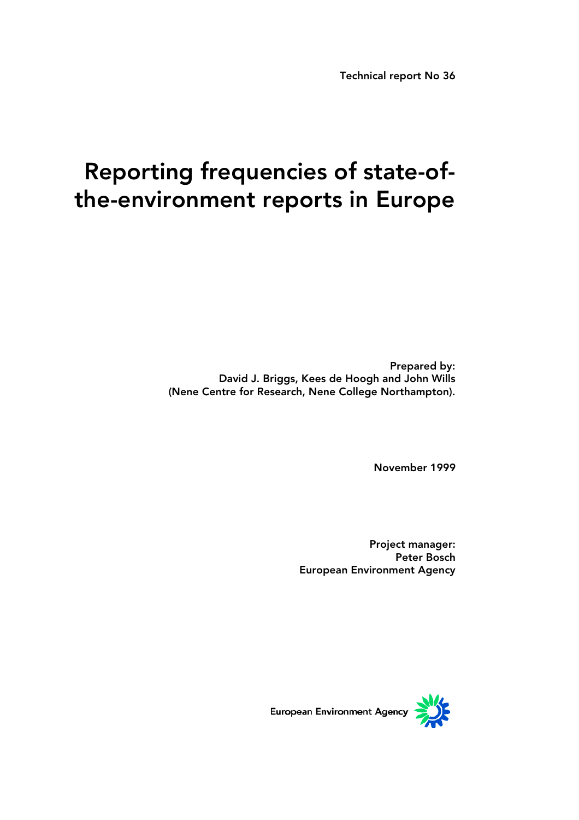Technical report No 36

# Reporting frequencies of state-ofthe-environment reports in Europe

Prepared by: David J. Briggs, Kees de Hoogh and John Wills (Nene Centre for Research, Nene College Northampton).

November 1999

Project manager: Peter Bosch European Environment Agency

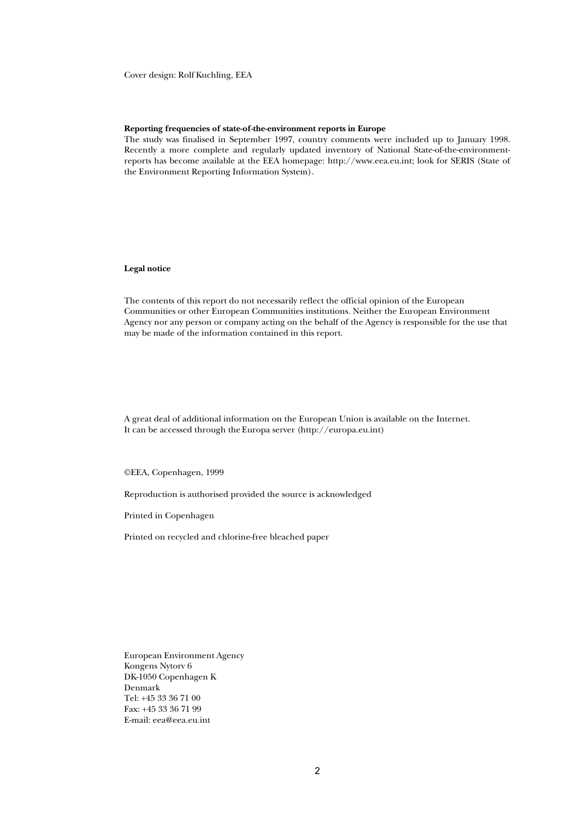Cover design: Rolf Kuchling, EEA

#### **Reporting frequencies of state-of-the-environment reports in Europe**

The study was finalised in September 1997, country comments were included up to January 1998. Recently a more complete and regularly updated inventory of National State-of-the-environmentreports has become available at the EEA homepage: http://www.eea.eu.int; look for SERIS (State of the Environment Reporting Information System).

#### **Legal notice**

The contents of this report do not necessarily reflect the official opinion of the European Communities or other European Communities institutions. Neither the European Environment Agency nor any person or company acting on the behalf of the Agency is responsible for the use that may be made of the information contained in this report.

A great deal of additional information on the European Union is available on the Internet. It can be accessed through the Europa server (http://europa.eu.int)

©EEA, Copenhagen, 1999

Reproduction is authorised provided the source is acknowledged

Printed in Copenhagen

Printed on recycled and chlorine-free bleached paper

European Environment Agency Kongens Nytorv 6 DK-1050 Copenhagen K Denmark Tel: +45 33 36 71 00 Fax: +45 33 36 71 99 E-mail: eea@eea.eu.int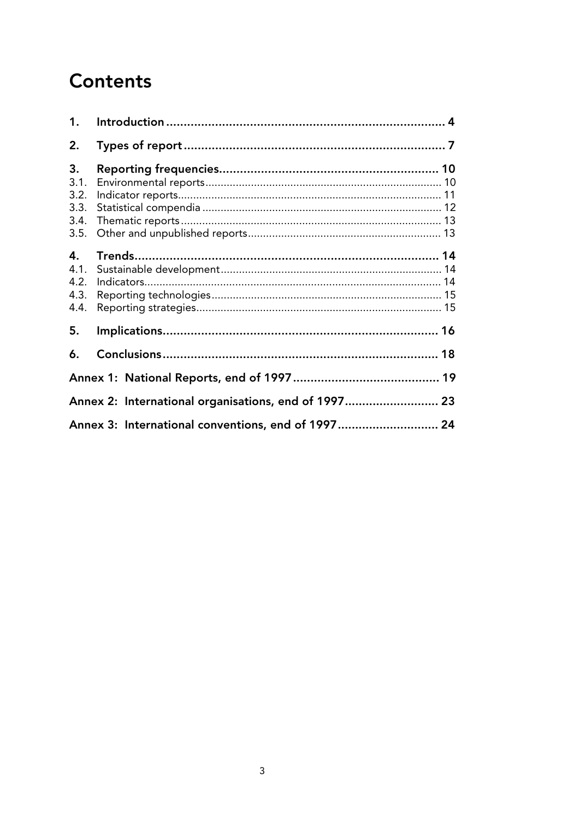## **Contents**

| 1.                                         |                                                      |  |
|--------------------------------------------|------------------------------------------------------|--|
| 2.                                         |                                                      |  |
| 3.<br>3.1.<br>3.2.<br>3.3.<br>3.4.<br>3.5. |                                                      |  |
| 4.<br>4.1.<br>4.2.<br>4.3.<br>4.4.         |                                                      |  |
| 5.                                         |                                                      |  |
| 6.                                         |                                                      |  |
|                                            |                                                      |  |
|                                            | Annex 2: International organisations, end of 1997 23 |  |
|                                            | Annex 3: International conventions, end of 1997 24   |  |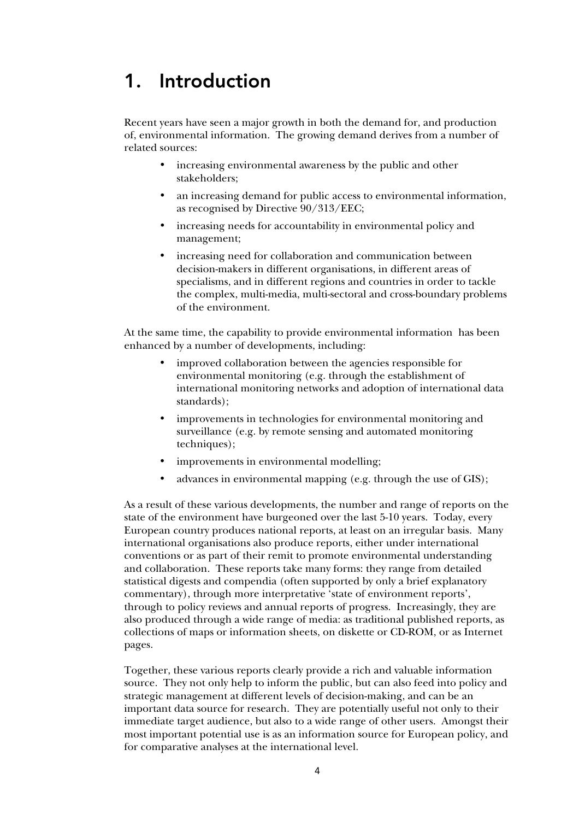### 1. Introduction

Recent years have seen a major growth in both the demand for, and production of, environmental information. The growing demand derives from a number of related sources:

- increasing environmental awareness by the public and other stakeholders;
- an increasing demand for public access to environmental information, as recognised by Directive 90/313/EEC;
- increasing needs for accountability in environmental policy and management;
- increasing need for collaboration and communication between decision-makers in different organisations, in different areas of specialisms, and in different regions and countries in order to tackle the complex, multi-media, multi-sectoral and cross-boundary problems of the environment.

At the same time, the capability to provide environmental information has been enhanced by a number of developments, including:

- improved collaboration between the agencies responsible for environmental monitoring (e.g. through the establishment of international monitoring networks and adoption of international data standards);
- improvements in technologies for environmental monitoring and surveillance (e.g. by remote sensing and automated monitoring techniques);
- improvements in environmental modelling;
- advances in environmental mapping (e.g. through the use of GIS);

As a result of these various developments, the number and range of reports on the state of the environment have burgeoned over the last 5-10 years. Today, every European country produces national reports, at least on an irregular basis. Many international organisations also produce reports, either under international conventions or as part of their remit to promote environmental understanding and collaboration. These reports take many forms: they range from detailed statistical digests and compendia (often supported by only a brief explanatory commentary), through more interpretative 'state of environment reports', through to policy reviews and annual reports of progress. Increasingly, they are also produced through a wide range of media: as traditional published reports, as collections of maps or information sheets, on diskette or CD-ROM, or as Internet pages.

Together, these various reports clearly provide a rich and valuable information source. They not only help to inform the public, but can also feed into policy and strategic management at different levels of decision-making, and can be an important data source for research. They are potentially useful not only to their immediate target audience, but also to a wide range of other users. Amongst their most important potential use is as an information source for European policy, and for comparative analyses at the international level.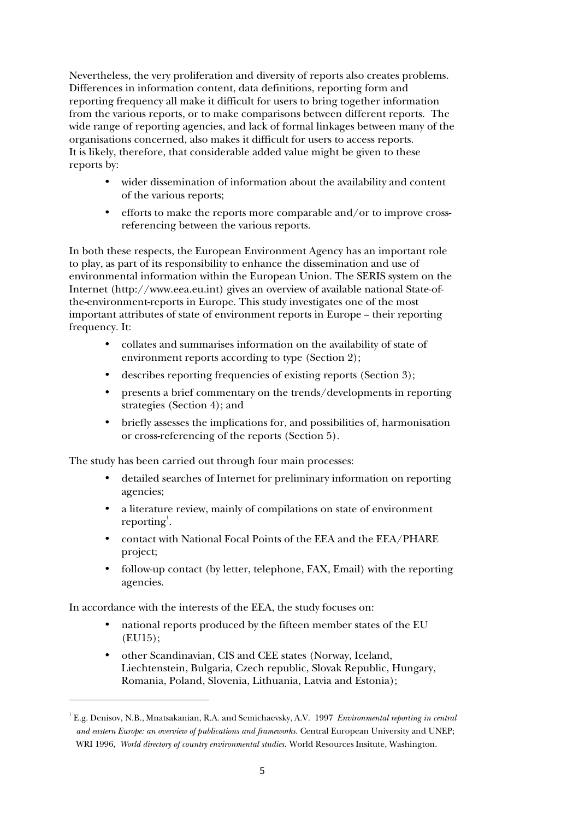Nevertheless, the very proliferation and diversity of reports also creates problems. Differences in information content, data definitions, reporting form and reporting frequency all make it difficult for users to bring together information from the various reports, or to make comparisons between different reports. The wide range of reporting agencies, and lack of formal linkages between many of the organisations concerned, also makes it difficult for users to access reports. It is likely, therefore, that considerable added value might be given to these reports by:

- wider dissemination of information about the availability and content of the various reports;
- efforts to make the reports more comparable and/or to improve crossreferencing between the various reports.

In both these respects, the European Environment Agency has an important role to play, as part of its responsibility to enhance the dissemination and use of environmental information within the European Union. The SERIS system on the Internet (http://www.eea.eu.int) gives an overview of available national State-ofthe-environment-reports in Europe. This study investigates one of the most important attributes of state of environment reports in Europe – their reporting frequency. It:

- collates and summarises information on the availability of state of environment reports according to type (Section 2);
- describes reporting frequencies of existing reports (Section 3);
- presents a brief commentary on the trends/developments in reporting strategies (Section 4); and
- briefly assesses the implications for, and possibilities of, harmonisation or cross-referencing of the reports (Section 5).

The study has been carried out through four main processes:

- detailed searches of Internet for preliminary information on reporting agencies;
- a literature review, mainly of compilations on state of environment reporting<sup>1</sup>.
- contact with National Focal Points of the EEA and the EEA/PHARE project;
- follow-up contact (by letter, telephone, FAX, Email) with the reporting agencies.

In accordance with the interests of the EEA, the study focuses on:

 $\overline{a}$ 

- national reports produced by the fifteen member states of the EU (EU15);
- other Scandinavian, CIS and CEE states (Norway, Iceland, Liechtenstein, Bulgaria, Czech republic, Slovak Republic, Hungary, Romania, Poland, Slovenia, Lithuania, Latvia and Estonia);

<sup>1</sup> E.g. Denisov, N.B., Mnatsakanian, R.A. and Semichaevsky, A.V. 1997 *Environmental reporting in central and eastern Europe: an overview of publications and frameworks.* Central European University and UNEP; WRI 1996, *World directory of country environmental studies.* World Resources Insitute*,* Washington.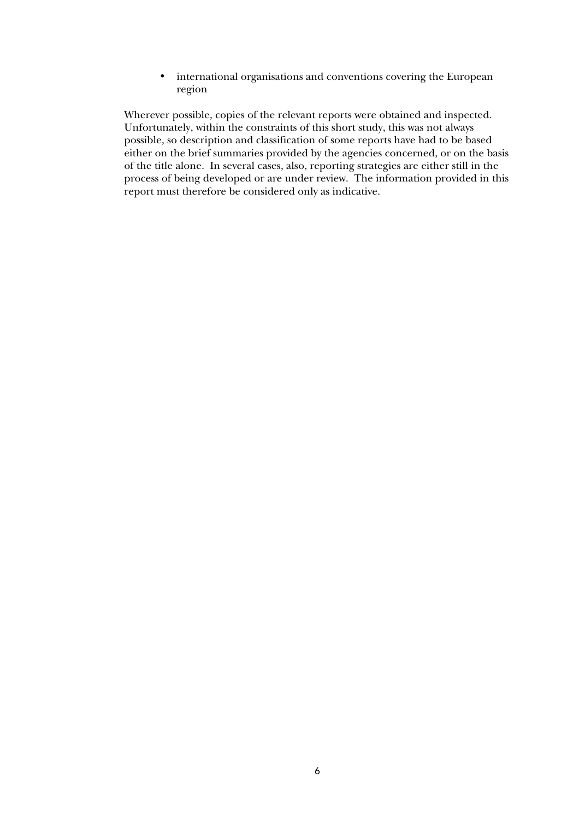• international organisations and conventions covering the European region

Wherever possible, copies of the relevant reports were obtained and inspected. Unfortunately, within the constraints of this short study, this was not always possible, so description and classification of some reports have had to be based either on the brief summaries provided by the agencies concerned, or on the basis of the title alone. In several cases, also, reporting strategies are either still in the process of being developed or are under review. The information provided in this report must therefore be considered only as indicative.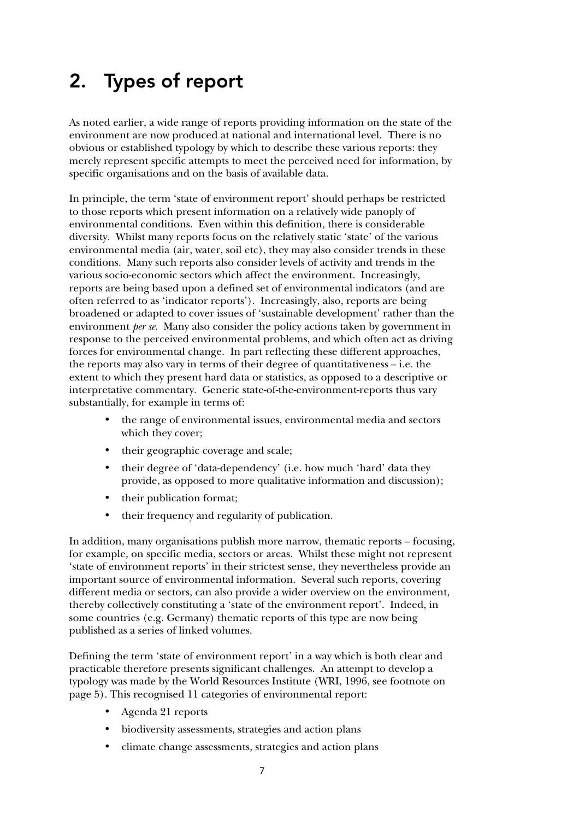## 2. Types of report

As noted earlier, a wide range of reports providing information on the state of the environment are now produced at national and international level. There is no obvious or established typology by which to describe these various reports: they merely represent specific attempts to meet the perceived need for information, by specific organisations and on the basis of available data.

In principle, the term 'state of environment report' should perhaps be restricted to those reports which present information on a relatively wide panoply of environmental conditions. Even within this definition, there is considerable diversity. Whilst many reports focus on the relatively static 'state' of the various environmental media (air, water, soil etc), they may also consider trends in these conditions. Many such reports also consider levels of activity and trends in the various socio-economic sectors which affect the environment. Increasingly, reports are being based upon a defined set of environmental indicators (and are often referred to as 'indicator reports'). Increasingly, also, reports are being broadened or adapted to cover issues of 'sustainable development' rather than the environment *per se.* Many also consider the policy actions taken by government in response to the perceived environmental problems, and which often act as driving forces for environmental change. In part reflecting these different approaches, the reports may also vary in terms of their degree of quantitativeness – i.e. the extent to which they present hard data or statistics, as opposed to a descriptive or interpretative commentary. Generic state-of-the-environment-reports thus vary substantially, for example in terms of:

- the range of environmental issues, environmental media and sectors which they cover;
- their geographic coverage and scale;
- their degree of 'data-dependency' (i.e. how much 'hard' data they provide, as opposed to more qualitative information and discussion);
- their publication format;
- their frequency and regularity of publication.

In addition, many organisations publish more narrow, thematic reports – focusing, for example, on specific media, sectors or areas. Whilst these might not represent 'state of environment reports' in their strictest sense, they nevertheless provide an important source of environmental information. Several such reports, covering different media or sectors, can also provide a wider overview on the environment, thereby collectively constituting a 'state of the environment report'. Indeed, in some countries (e.g. Germany) thematic reports of this type are now being published as a series of linked volumes.

Defining the term 'state of environment report' in a way which is both clear and practicable therefore presents significant challenges. An attempt to develop a typology was made by the World Resources Institute (WRI, 1996, see footnote on page 5). This recognised 11 categories of environmental report:

- Agenda 21 reports
- biodiversity assessments, strategies and action plans
- climate change assessments, strategies and action plans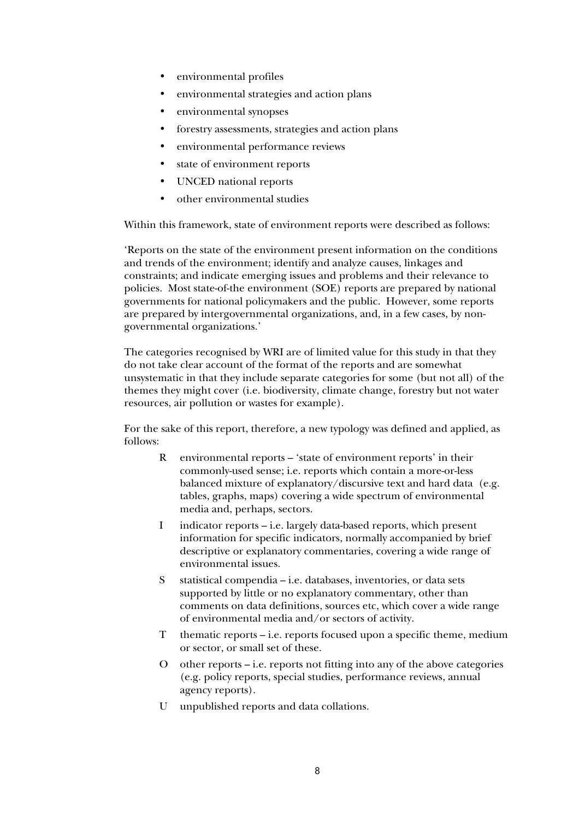- environmental profiles
- environmental strategies and action plans
- environmental synopses
- forestry assessments, strategies and action plans
- environmental performance reviews
- state of environment reports
- UNCED national reports
- other environmental studies

Within this framework, state of environment reports were described as follows:

'Reports on the state of the environment present information on the conditions and trends of the environment; identify and analyze causes, linkages and constraints; and indicate emerging issues and problems and their relevance to policies. Most state-of-the environment (SOE) reports are prepared by national governments for national policymakers and the public. However, some reports are prepared by intergovernmental organizations, and, in a few cases, by nongovernmental organizations.'

The categories recognised by WRI are of limited value for this study in that they do not take clear account of the format of the reports and are somewhat unsystematic in that they include separate categories for some (but not all) of the themes they might cover (i.e. biodiversity, climate change, forestry but not water resources, air pollution or wastes for example).

For the sake of this report, therefore, a new typology was defined and applied, as follows:

- R environmental reports 'state of environment reports' in their commonly-used sense; i.e. reports which contain a more-or-less balanced mixture of explanatory/discursive text and hard data (e.g. tables, graphs, maps) covering a wide spectrum of environmental media and, perhaps, sectors.
- I indicator reports i.e. largely data-based reports, which present information for specific indicators, normally accompanied by brief descriptive or explanatory commentaries, covering a wide range of environmental issues.
- S statistical compendia i.e. databases, inventories, or data sets supported by little or no explanatory commentary, other than comments on data definitions, sources etc, which cover a wide range of environmental media and/or sectors of activity.
- T thematic reports i.e. reports focused upon a specific theme, medium or sector, or small set of these.
- O other reports i.e. reports not fitting into any of the above categories (e.g. policy reports, special studies, performance reviews, annual agency reports).
- U unpublished reports and data collations.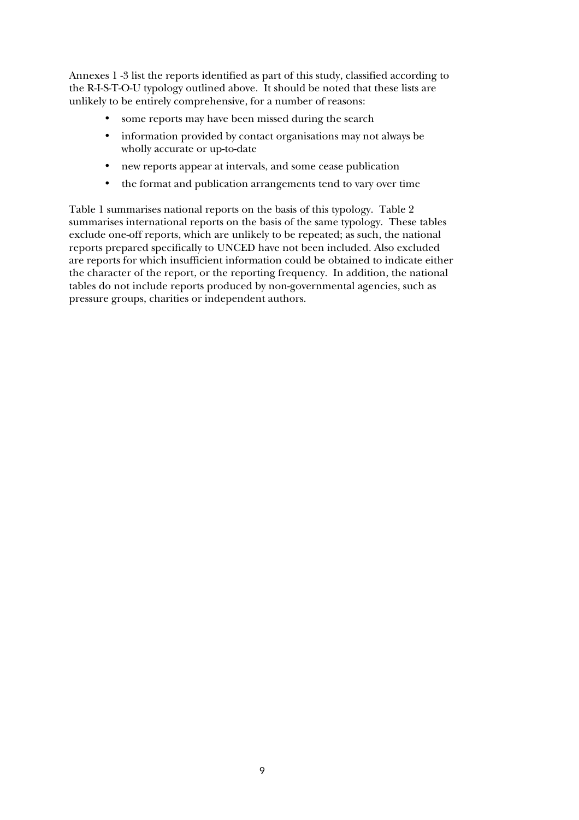Annexes 1 -3 list the reports identified as part of this study, classified according to the R-I-S-T-O-U typology outlined above. It should be noted that these lists are unlikely to be entirely comprehensive, for a number of reasons:

- some reports may have been missed during the search
- information provided by contact organisations may not always be wholly accurate or up-to-date
- new reports appear at intervals, and some cease publication
- the format and publication arrangements tend to vary over time

Table 1 summarises national reports on the basis of this typology. Table 2 summarises international reports on the basis of the same typology. These tables exclude one-off reports, which are unlikely to be repeated; as such, the national reports prepared specifically to UNCED have not been included. Also excluded are reports for which insufficient information could be obtained to indicate either the character of the report, or the reporting frequency. In addition, the national tables do not include reports produced by non-governmental agencies, such as pressure groups, charities or independent authors.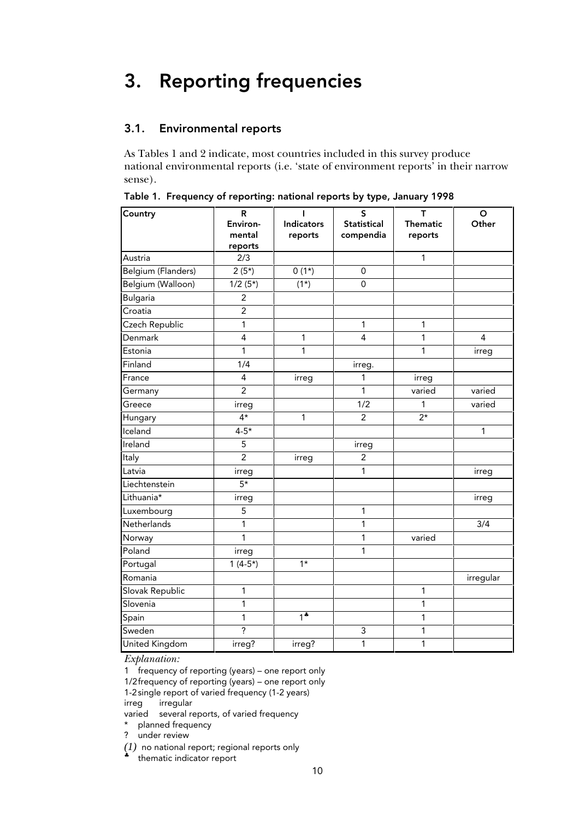## 3. Reporting frequencies

#### 3.1. Environmental reports

As Tables 1 and 2 indicate, most countries included in this survey produce national environmental reports (i.e. 'state of environment reports' in their narrow sense).

| Country            | R                       | L                 | S                       | т               | $\mathbf O$      |
|--------------------|-------------------------|-------------------|-------------------------|-----------------|------------------|
|                    | Environ-                | <b>Indicators</b> | <b>Statistical</b>      | <b>Thematic</b> | Other            |
|                    | mental<br>reports       | reports           | compendia               | reports         |                  |
| Austria            | 2/3                     |                   |                         | 1               |                  |
| Belgium (Flanders) | $2(5*)$                 | $0(1*)$           | $\mathbf{0}$            |                 |                  |
| Belgium (Walloon)  | $1/2(5*)$               | $(1*)$            | 0                       |                 |                  |
| <b>Bulgaria</b>    | $\overline{2}$          |                   |                         |                 |                  |
| Croatia            | $\overline{2}$          |                   |                         |                 |                  |
| Czech Republic     | 1                       |                   | 1                       | 1               |                  |
| Denmark            | $\overline{\mathbf{4}}$ | 1                 | $\overline{\mathbf{4}}$ | 1               | $\overline{4}$   |
| Estonia            | 1                       | 1                 |                         | 1               | irreg            |
| Finland            | 1/4                     |                   | irreg.                  |                 |                  |
| France             | 4                       | irreg             | 1                       | irreg           |                  |
| Germany            | $\overline{2}$          |                   | $\overline{1}$          | varied          | varied           |
| Greece             | irreg                   |                   | 1/2                     | 1               | varied           |
| Hungary            | $4*$                    | 1                 | $\overline{c}$          | $2*$            |                  |
| Iceland            | $4 - 5*$                |                   |                         |                 | 1                |
| Ireland            | 5                       |                   | irreg                   |                 |                  |
| Italy              | $\overline{2}$          | irreg             | $\overline{\mathbf{c}}$ |                 |                  |
| Latvia             | irreg                   |                   | 1                       |                 | irreg            |
| Liechtenstein      | $5*$                    |                   |                         |                 |                  |
| Lithuania*         | irreg                   |                   |                         |                 | irreg            |
| Luxembourg         | 5                       |                   | 1                       |                 |                  |
| Netherlands        | 1                       |                   | 1                       |                 | $\overline{3/4}$ |
| Norway             | $\mathbf{1}$            |                   | $\mathbf{1}$            | varied          |                  |
| Poland             | irreg                   |                   | 1                       |                 |                  |
| Portugal           | $1(4-5*)$               | $1*$              |                         |                 |                  |
| Romania            |                         |                   |                         |                 | irregular        |
| Slovak Republic    | $\mathbf{1}$            |                   |                         | 1               |                  |
| Slovenia           | 1                       |                   |                         | 1               |                  |
| Spain              | $\mathbf{1}$            | $\overline{1^*}$  |                         | 1               |                  |
| Sweden             | $\overline{\cdot}$      |                   | 3                       | 1               |                  |
| United Kingdom     | irreg?                  | irreg?            | 1                       | 1               |                  |

Table 1. Frequency of reporting: national reports by type, January 1998

*Explanation:*

1 frequency of reporting (years) – one report only

1/2frequency of reporting (years) – one report only

1-2single report of varied frequency (1-2 years)

irreg irregular

varied several reports, of varied frequency

\* planned frequency

? under review

*(1)* no national report; regional reports only

thematic indicator report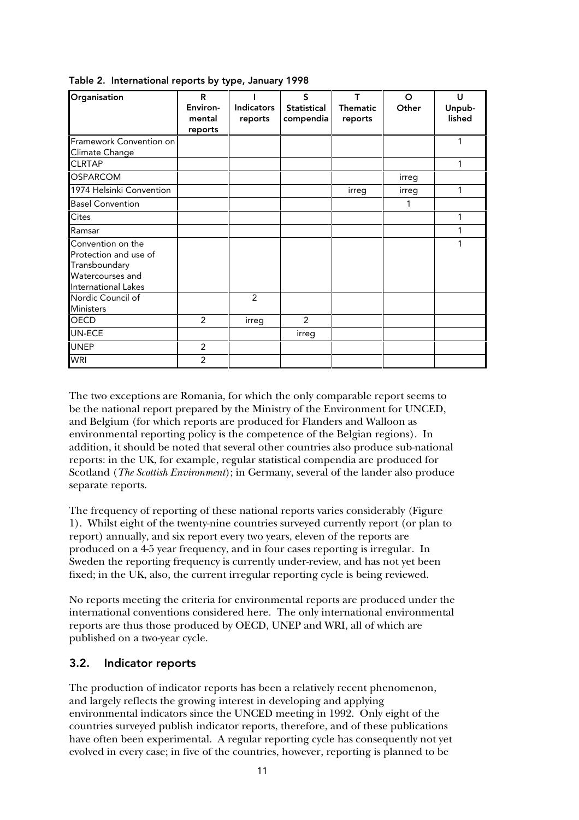| Organisation                                                                                           | R<br>Environ-<br>mental<br>reports | <b>Indicators</b><br>reports | $\mathsf{S}$<br><b>Statistical</b><br>compendia | T<br><b>Thematic</b><br>reports | $\Omega$<br>Other | U<br>Unpub-<br>lished |
|--------------------------------------------------------------------------------------------------------|------------------------------------|------------------------------|-------------------------------------------------|---------------------------------|-------------------|-----------------------|
| Framework Convention on<br>Climate Change                                                              |                                    |                              |                                                 |                                 |                   | 1                     |
| <b>CLRTAP</b>                                                                                          |                                    |                              |                                                 |                                 |                   | 1                     |
| <b>OSPARCOM</b>                                                                                        |                                    |                              |                                                 |                                 | irreg             |                       |
| 1974 Helsinki Convention                                                                               |                                    |                              |                                                 | irreg                           | irreg             | 1                     |
| <b>Basel Convention</b>                                                                                |                                    |                              |                                                 |                                 |                   |                       |
| Cites                                                                                                  |                                    |                              |                                                 |                                 |                   | 1                     |
| Ramsar                                                                                                 |                                    |                              |                                                 |                                 |                   | 1                     |
| Convention on the<br>Protection and use of<br>Transboundary<br>Watercourses and<br>International Lakes |                                    |                              |                                                 |                                 |                   |                       |
| Nordic Council of<br><b>Ministers</b>                                                                  |                                    | $\mathcal{P}$                |                                                 |                                 |                   |                       |
| <b>OECD</b>                                                                                            | 2                                  | irreg                        | 2                                               |                                 |                   |                       |
| UN-ECE                                                                                                 |                                    |                              | irreg                                           |                                 |                   |                       |
| <b>UNEP</b>                                                                                            | 2                                  |                              |                                                 |                                 |                   |                       |
| <b>WRI</b>                                                                                             | 2                                  |                              |                                                 |                                 |                   |                       |

Table 2. International reports by type, January 1998

The two exceptions are Romania, for which the only comparable report seems to be the national report prepared by the Ministry of the Environment for UNCED, and Belgium (for which reports are produced for Flanders and Walloon as environmental reporting policy is the competence of the Belgian regions). In addition, it should be noted that several other countries also produce sub-national reports: in the UK, for example, regular statistical compendia are produced for Scotland (*The Scottish Environment*); in Germany, several of the lander also produce separate reports.

The frequency of reporting of these national reports varies considerably (Figure 1). Whilst eight of the twenty-nine countries surveyed currently report (or plan to report) annually, and six report every two years, eleven of the reports are produced on a 4-5 year frequency, and in four cases reporting is irregular. In Sweden the reporting frequency is currently under-review, and has not yet been fixed; in the UK, also, the current irregular reporting cycle is being reviewed.

No reports meeting the criteria for environmental reports are produced under the international conventions considered here. The only international environmental reports are thus those produced by OECD, UNEP and WRI, all of which are published on a two-year cycle.

#### 3.2. Indicator reports

The production of indicator reports has been a relatively recent phenomenon, and largely reflects the growing interest in developing and applying environmental indicators since the UNCED meeting in 1992. Only eight of the countries surveyed publish indicator reports, therefore, and of these publications have often been experimental. A regular reporting cycle has consequently not yet evolved in every case; in five of the countries, however, reporting is planned to be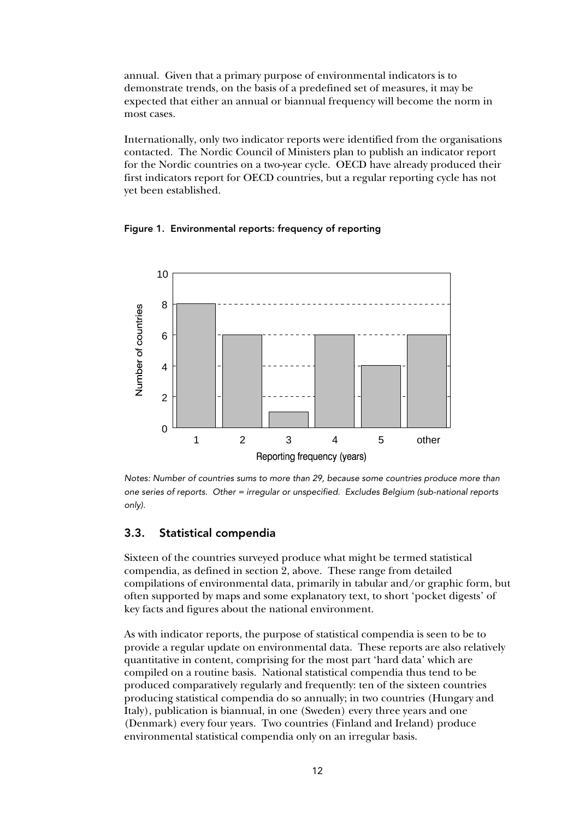annual. Given that a primary purpose of environmental indicators is to demonstrate trends, on the basis of a predefined set of measures, it may be expected that either an annual or biannual frequency will become the norm in most cases.

Internationally, only two indicator reports were identified from the organisations contacted. The Nordic Council of Ministers plan to publish an indicator report for the Nordic countries on a two-year cycle. OECD have already produced their first indicators report for OECD countries, but a regular reporting cycle has not yet been established.

Figure 1. Environmental reports: frequency of reporting



Notes: Number of countries sums to more than 29, because some countries produce more than one series of reports. Other = irregular or unspecified. Excludes Belgium (sub-national reports only).

### 3.3. Statistical compendia

Sixteen of the countries surveyed produce what might be termed statistical compendia, as defined in section 2, above. These range from detailed compilations of environmental data, primarily in tabular and/or graphic form, but often supported by maps and some explanatory text, to short 'pocket digests' of key facts and figures about the national environment.

As with indicator reports, the purpose of statistical compendia is seen to be to provide a regular update on environmental data. These reports are also relatively quantitative in content, comprising for the most part 'hard data' which are compiled on a routine basis. National statistical compendia thus tend to be produced comparatively regularly and frequently: ten of the sixteen countries producing statistical compendia do so annually; in two countries (Hungary and Italy), publication is biannual, in one (Sweden) every three years and one (Denmark) every four years. Two countries (Finland and Ireland) produce environmental statistical compendia only on an irregular basis.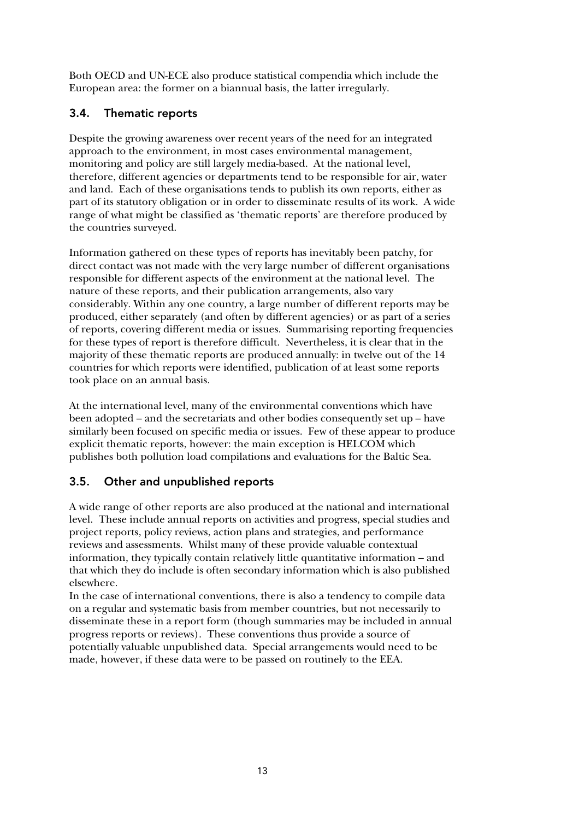Both OECD and UN-ECE also produce statistical compendia which include the European area: the former on a biannual basis, the latter irregularly.

#### 3.4. Thematic reports

Despite the growing awareness over recent years of the need for an integrated approach to the environment, in most cases environmental management, monitoring and policy are still largely media-based. At the national level, therefore, different agencies or departments tend to be responsible for air, water and land. Each of these organisations tends to publish its own reports, either as part of its statutory obligation or in order to disseminate results of its work. A wide range of what might be classified as 'thematic reports' are therefore produced by the countries surveyed.

Information gathered on these types of reports has inevitably been patchy, for direct contact was not made with the very large number of different organisations responsible for different aspects of the environment at the national level. The nature of these reports, and their publication arrangements, also vary considerably. Within any one country, a large number of different reports may be produced, either separately (and often by different agencies) or as part of a series of reports, covering different media or issues. Summarising reporting frequencies for these types of report is therefore difficult. Nevertheless, it is clear that in the majority of these thematic reports are produced annually: in twelve out of the 14 countries for which reports were identified, publication of at least some reports took place on an annual basis.

At the international level, many of the environmental conventions which have been adopted – and the secretariats and other bodies consequently set up – have similarly been focused on specific media or issues. Few of these appear to produce explicit thematic reports, however: the main exception is HELCOM which publishes both pollution load compilations and evaluations for the Baltic Sea.

### 3.5. Other and unpublished reports

A wide range of other reports are also produced at the national and international level. These include annual reports on activities and progress, special studies and project reports, policy reviews, action plans and strategies, and performance reviews and assessments. Whilst many of these provide valuable contextual information, they typically contain relatively little quantitative information – and that which they do include is often secondary information which is also published elsewhere.

In the case of international conventions, there is also a tendency to compile data on a regular and systematic basis from member countries, but not necessarily to disseminate these in a report form (though summaries may be included in annual progress reports or reviews). These conventions thus provide a source of potentially valuable unpublished data. Special arrangements would need to be made, however, if these data were to be passed on routinely to the EEA.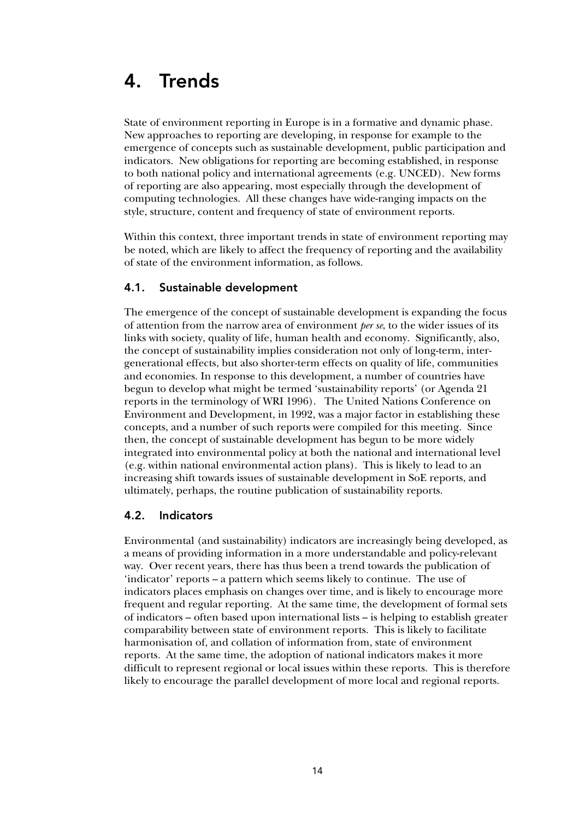### 4. Trends

State of environment reporting in Europe is in a formative and dynamic phase. New approaches to reporting are developing, in response for example to the emergence of concepts such as sustainable development, public participation and indicators. New obligations for reporting are becoming established, in response to both national policy and international agreements (e.g. UNCED). New forms of reporting are also appearing, most especially through the development of computing technologies. All these changes have wide-ranging impacts on the style, structure, content and frequency of state of environment reports.

Within this context, three important trends in state of environment reporting may be noted, which are likely to affect the frequency of reporting and the availability of state of the environment information, as follows.

#### 4.1. Sustainable development

The emergence of the concept of sustainable development is expanding the focus of attention from the narrow area of environment *per se*, to the wider issues of its links with society, quality of life, human health and economy. Significantly, also, the concept of sustainability implies consideration not only of long-term, intergenerational effects, but also shorter-term effects on quality of life, communities and economies. In response to this development, a number of countries have begun to develop what might be termed 'sustainability reports' (or Agenda 21 reports in the terminology of WRI 1996). The United Nations Conference on Environment and Development, in 1992, was a major factor in establishing these concepts, and a number of such reports were compiled for this meeting. Since then, the concept of sustainable development has begun to be more widely integrated into environmental policy at both the national and international level (e.g. within national environmental action plans). This is likely to lead to an increasing shift towards issues of sustainable development in SoE reports, and ultimately, perhaps, the routine publication of sustainability reports.

#### 4.2. Indicators

Environmental (and sustainability) indicators are increasingly being developed, as a means of providing information in a more understandable and policy-relevant way. Over recent years, there has thus been a trend towards the publication of 'indicator' reports – a pattern which seems likely to continue. The use of indicators places emphasis on changes over time, and is likely to encourage more frequent and regular reporting. At the same time, the development of formal sets of indicators – often based upon international lists – is helping to establish greater comparability between state of environment reports. This is likely to facilitate harmonisation of, and collation of information from, state of environment reports. At the same time, the adoption of national indicators makes it more difficult to represent regional or local issues within these reports. This is therefore likely to encourage the parallel development of more local and regional reports.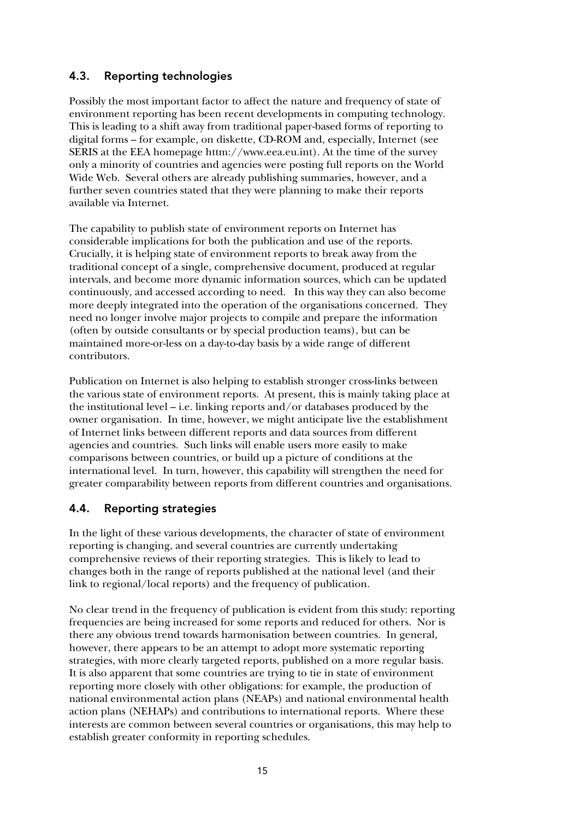### 4.3. Reporting technologies

Possibly the most important factor to affect the nature and frequency of state of environment reporting has been recent developments in computing technology. This is leading to a shift away from traditional paper-based forms of reporting to digital forms – for example, on diskette, CD-ROM and, especially, Internet (see SERIS at the EEA homepage httm://www.eea.eu.int). At the time of the survey only a minority of countries and agencies were posting full reports on the World Wide Web. Several others are already publishing summaries, however, and a further seven countries stated that they were planning to make their reports available via Internet.

The capability to publish state of environment reports on Internet has considerable implications for both the publication and use of the reports. Crucially, it is helping state of environment reports to break away from the traditional concept of a single, comprehensive document, produced at regular intervals, and become more dynamic information sources, which can be updated continuously, and accessed according to need. In this way they can also become more deeply integrated into the operation of the organisations concerned. They need no longer involve major projects to compile and prepare the information (often by outside consultants or by special production teams), but can be maintained more-or-less on a day-to-day basis by a wide range of different contributors.

Publication on Internet is also helping to establish stronger cross-links between the various state of environment reports. At present, this is mainly taking place at the institutional level – i.e. linking reports and/or databases produced by the owner organisation. In time, however, we might anticipate live the establishment of Internet links between different reports and data sources from different agencies and countries. Such links will enable users more easily to make comparisons between countries, or build up a picture of conditions at the international level. In turn, however, this capability will strengthen the need for greater comparability between reports from different countries and organisations.

### 4.4. Reporting strategies

In the light of these various developments, the character of state of environment reporting is changing, and several countries are currently undertaking comprehensive reviews of their reporting strategies. This is likely to lead to changes both in the range of reports published at the national level (and their link to regional/local reports) and the frequency of publication.

No clear trend in the frequency of publication is evident from this study: reporting frequencies are being increased for some reports and reduced for others. Nor is there any obvious trend towards harmonisation between countries. In general, however, there appears to be an attempt to adopt more systematic reporting strategies, with more clearly targeted reports, published on a more regular basis. It is also apparent that some countries are trying to tie in state of environment reporting more closely with other obligations: for example, the production of national environmental action plans (NEAPs) and national environmental health action plans (NEHAPs) and contributions to international reports. Where these interests are common between several countries or organisations, this may help to establish greater conformity in reporting schedules.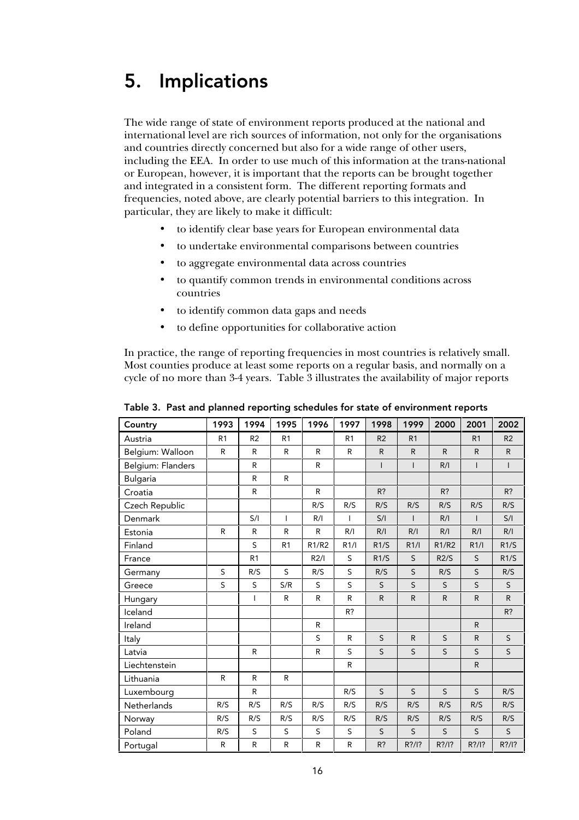### 5. Implications

The wide range of state of environment reports produced at the national and international level are rich sources of information, not only for the organisations and countries directly concerned but also for a wide range of other users, including the EEA. In order to use much of this information at the trans-national or European, however, it is important that the reports can be brought together and integrated in a consistent form. The different reporting formats and frequencies, noted above, are clearly potential barriers to this integration. In particular, they are likely to make it difficult:

- to identify clear base years for European environmental data
- to undertake environmental comparisons between countries
- to aggregate environmental data across countries
- to quantify common trends in environmental conditions across countries
- to identify common data gaps and needs
- to define opportunities for collaborative action

In practice, the range of reporting frequencies in most countries is relatively small. Most counties produce at least some reports on a regular basis, and normally on a cycle of no more than 3-4 years. Table 3 illustrates the availability of major reports

| Country           | 1993           | 1994           | 1995           | 1996         | 1997           | 1998           | 1999           | 2000         | 2001           | 2002           |
|-------------------|----------------|----------------|----------------|--------------|----------------|----------------|----------------|--------------|----------------|----------------|
| Austria           | R <sub>1</sub> | R <sub>2</sub> | R <sub>1</sub> |              | R <sub>1</sub> | R <sub>2</sub> | R <sub>1</sub> |              | R <sub>1</sub> | R <sub>2</sub> |
| Belgium: Walloon  | R.             | R              | R              | $\mathsf{R}$ | R              | $\mathsf R$    | ${\sf R}$      | $\mathsf{R}$ | ${\sf R}$      | ${\sf R}$      |
| Belgium: Flanders |                | $\mathsf{R}$   |                | $\mathsf{R}$ |                | $\mathsf{I}$   | $\mathbf{I}$   | R/I          | $\mathsf{I}$   | $\mathbf{I}$   |
| <b>Bulgaria</b>   |                | $\mathsf{R}$   | $\mathsf{R}$   |              |                |                |                |              |                |                |
| Croatia           |                | R              |                | $\mathsf{R}$ |                | $R$ ?          |                | $R$ ?        |                | $R$ ?          |
| Czech Republic    |                |                |                | R/S          | R/S            | R/S            | R/S            | R/S          | R/S            | R/S            |
| Denmark           |                | S/I            | $\mathbf{I}$   | R/I          | $\mathbf{I}$   | S/I            | $\mathbf{I}$   | R/I          | $\mathbf{I}$   | S/I            |
| Estonia           | $\mathsf{R}$   | R              | R              | $\mathsf{R}$ | R/I            | R/I            | R/I            | R/I          | R/I            | R/I            |
| Finland           |                | S              | R <sub>1</sub> | R1/R2        | R1/l           | R1/S           | R1/l           | R1/R2        | R1/l           | R1/S           |
| France            |                | R <sub>1</sub> |                | R2/I         | S              | R1/S           | S              | R2/S         | S              | R1/S           |
| Germany           | S              | R/S            | S              | R/S          | S              | R/S            | S              | R/S          | S              | R/S            |
| Greece            | S              | S              | S/R            | S            | S              | S              | S              | S            | $\sf S$        | S              |
| Hungary           |                | T              | R              | R            | R              | $\mathsf R$    | $\mathsf R$    | ${\sf R}$    | ${\sf R}$      | $\mathsf{R}$   |
| Iceland           |                |                |                |              | R?             |                |                |              |                | $R$ ?          |
| Ireland           |                |                |                | R            |                |                |                |              | $\mathsf{R}$   |                |
| Italy             |                |                |                | S            | R              | S              | R              | S            | $\mathsf{R}$   | $\sf S$        |
| Latvia            |                | R              |                | R            | S              | S              | S              | S            | $\mathsf S$    | $\mathsf{S}$   |
| Liechtenstein     |                |                |                |              | ${\sf R}$      |                |                |              | ${\sf R}$      |                |
| Lithuania         | R              | $\mathsf R$    | $\mathsf R$    |              |                |                |                |              |                |                |
| Luxembourg        |                | R              |                |              | R/S            | S              | S              | S            | S              | R/S            |
| Netherlands       | R/S            | R/S            | R/S            | R/S          | R/S            | R/S            | R/S            | R/S          | R/S            | R/S            |
| Norway            | R/S            | R/S            | R/S            | R/S          | R/S            | R/S            | R/S            | R/S          | R/S            | R/S            |
| Poland            | R/S            | S              | $\sf S$        | $\sf S$      | S              | $\sf S$        | S              | S            | S              | $\sf S$        |
| Portugal          | R              | ${\sf R}$      | $\mathsf R$    | $\mathsf{R}$ | R              | R?             | R?/I?          | $R$ ?/l?     | R?/I?          | $R$ ?/l?       |

Table 3. Past and planned reporting schedules for state of environment reports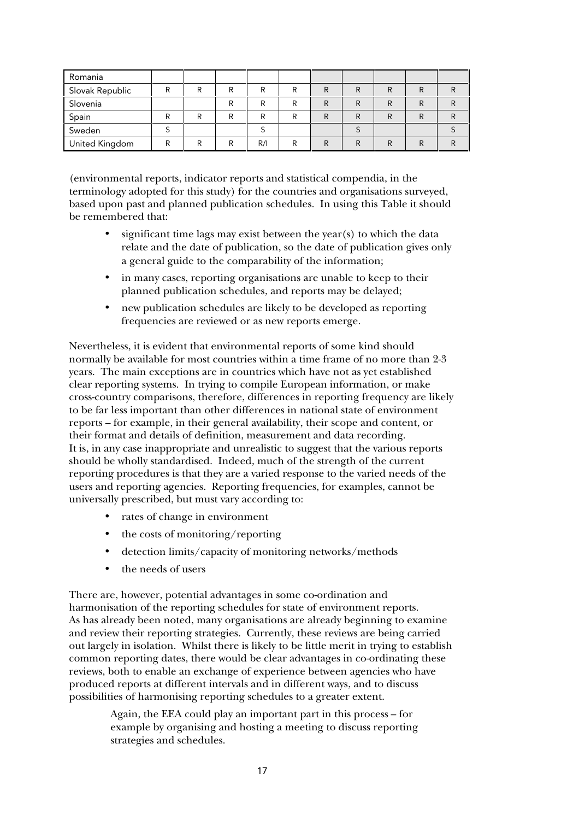| Romania               |        |   |   |     |   |   |   |   |   |  |
|-----------------------|--------|---|---|-----|---|---|---|---|---|--|
| Slovak Republic       | R      |   | ח | ם   | D | R | R | R |   |  |
| Slovenia              |        |   |   |     | D | R | R |   |   |  |
| Spain                 | ם<br>в | D | ח | ח   | D | R | R | R | R |  |
| Sweden                |        |   |   |     |   |   |   |   |   |  |
| <b>United Kingdom</b> | R      |   | ח | R/I | R | R | D |   |   |  |

(environmental reports, indicator reports and statistical compendia, in the terminology adopted for this study) for the countries and organisations surveyed, based upon past and planned publication schedules. In using this Table it should be remembered that:

- significant time lags may exist between the year(s) to which the data relate and the date of publication, so the date of publication gives only a general guide to the comparability of the information;
- in many cases, reporting organisations are unable to keep to their planned publication schedules, and reports may be delayed;
- new publication schedules are likely to be developed as reporting frequencies are reviewed or as new reports emerge.

Nevertheless, it is evident that environmental reports of some kind should normally be available for most countries within a time frame of no more than 2-3 years. The main exceptions are in countries which have not as yet established clear reporting systems. In trying to compile European information, or make cross-country comparisons, therefore, differences in reporting frequency are likely to be far less important than other differences in national state of environment reports – for example, in their general availability, their scope and content, or their format and details of definition, measurement and data recording. It is, in any case inappropriate and unrealistic to suggest that the various reports should be wholly standardised. Indeed, much of the strength of the current reporting procedures is that they are a varied response to the varied needs of the users and reporting agencies. Reporting frequencies, for examples, cannot be universally prescribed, but must vary according to:

- rates of change in environment
- the costs of monitoring/reporting
- detection limits/capacity of monitoring networks/methods
- the needs of users

There are, however, potential advantages in some co-ordination and harmonisation of the reporting schedules for state of environment reports. As has already been noted, many organisations are already beginning to examine and review their reporting strategies. Currently, these reviews are being carried out largely in isolation. Whilst there is likely to be little merit in trying to establish common reporting dates, there would be clear advantages in co-ordinating these reviews, both to enable an exchange of experience between agencies who have produced reports at different intervals and in different ways, and to discuss possibilities of harmonising reporting schedules to a greater extent.

> Again, the EEA could play an important part in this process – for example by organising and hosting a meeting to discuss reporting strategies and schedules.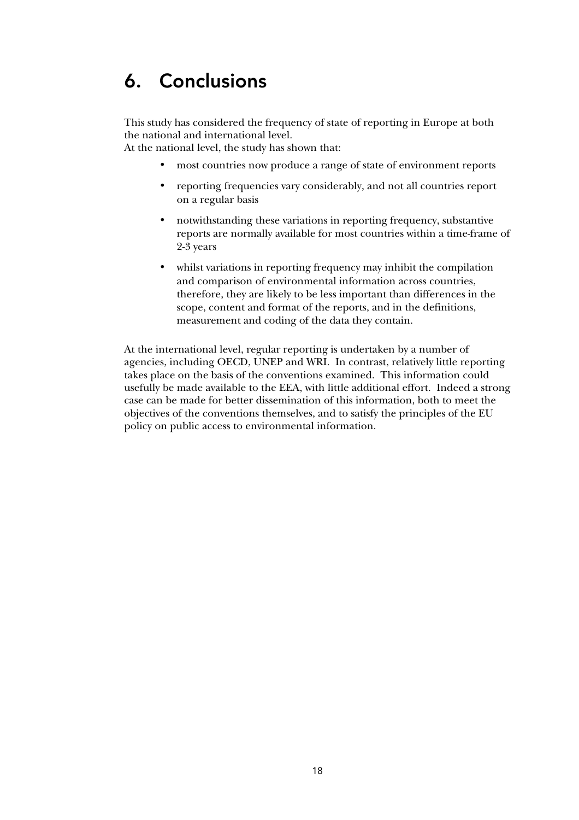## 6. Conclusions

This study has considered the frequency of state of reporting in Europe at both the national and international level.

At the national level, the study has shown that:

- most countries now produce a range of state of environment reports
- reporting frequencies vary considerably, and not all countries report on a regular basis
- notwithstanding these variations in reporting frequency, substantive reports are normally available for most countries within a time-frame of 2-3 years
- whilst variations in reporting frequency may inhibit the compilation and comparison of environmental information across countries, therefore, they are likely to be less important than differences in the scope, content and format of the reports, and in the definitions, measurement and coding of the data they contain.

At the international level, regular reporting is undertaken by a number of agencies, including OECD, UNEP and WRI. In contrast, relatively little reporting takes place on the basis of the conventions examined. This information could usefully be made available to the EEA, with little additional effort. Indeed a strong case can be made for better dissemination of this information, both to meet the objectives of the conventions themselves, and to satisfy the principles of the EU policy on public access to environmental information.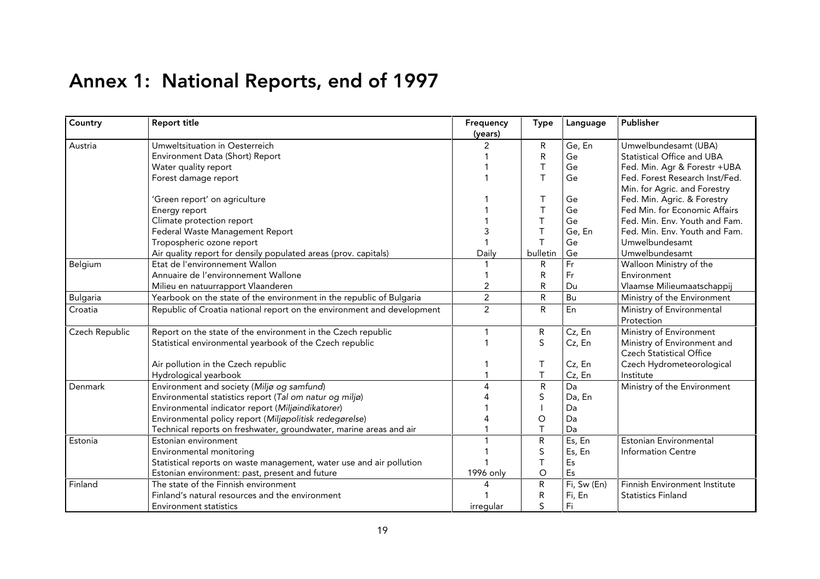# Annex 1: National Reports, end of 1997

| Country         | <b>Report title</b>                                                    | Frequency<br>(years) | <b>Type</b>  | Language    | Publisher                       |
|-----------------|------------------------------------------------------------------------|----------------------|--------------|-------------|---------------------------------|
| Austria         | Umweltsituation in Oesterreich                                         | 2                    | R            | Ge, En      | Umwelbundesamt (UBA)            |
|                 | Environment Data (Short) Report                                        |                      | R            | Ge          | Statistical Office and UBA      |
|                 | Water quality report                                                   |                      | Τ            | Ge          | Fed. Min. Agr & Forestr +UBA    |
|                 | Forest damage report                                                   |                      | T            | Ge          | Fed. Forest Research Inst/Fed.  |
|                 |                                                                        |                      |              |             | Min. for Agric. and Forestry    |
|                 | 'Green report' on agriculture                                          |                      | Τ            | Ge          | Fed. Min. Agric. & Forestry     |
|                 | Energy report                                                          |                      | T            | Ge          | Fed Min. for Economic Affairs   |
|                 | Climate protection report                                              |                      | $\mathsf{T}$ | Ge          | Fed. Min. Env. Youth and Fam.   |
|                 | Federal Waste Management Report                                        |                      | $\top$       | Ge, En      | Fed. Min. Env. Youth and Fam.   |
|                 | Tropospheric ozone report                                              |                      | T            | Ge          | Umwelbundesamt                  |
|                 | Air quality report for densily populated areas (prov. capitals)        | Daily                | bulletin     | Ge          | Umwelbundesamt                  |
| Belgium         | Etat de l'environnement Wallon                                         |                      | R            | Fr          | Walloon Ministry of the         |
|                 | Annuaire de l'environnement Wallone                                    |                      | R            | Fr          | Environment                     |
|                 | Milieu en natuurrapport Vlaanderen                                     | 2                    | R            | Du          | Vlaamse Milieumaatschappij      |
| <b>Bulgaria</b> | Yearbook on the state of the environment in the republic of Bulgaria   | $\overline{2}$       | $\mathsf{R}$ | Bu          | Ministry of the Environment     |
| Croatia         | Republic of Croatia national report on the environment and development | $\overline{2}$       | R            | En          | Ministry of Environmental       |
|                 |                                                                        |                      |              |             | Protection                      |
| Czech Republic  | Report on the state of the environment in the Czech republic           |                      | R            | Cz, En      | Ministry of Environment         |
|                 | Statistical environmental yearbook of the Czech republic               |                      | S            | Cz, En      | Ministry of Environment and     |
|                 |                                                                        |                      |              |             | <b>Czech Statistical Office</b> |
|                 | Air pollution in the Czech republic                                    |                      | Т            | Cz, En      | Czech Hydrometeorological       |
|                 | Hydrological yearbook                                                  |                      | $\top$       | Cz, En      | Institute                       |
| Denmark         | Environment and society (Miljø og samfund)                             | $\Delta$             | R            | Da          | Ministry of the Environment     |
|                 | Environmental statistics report (Tal om natur og miljø)                |                      | S            | Da, En      |                                 |
|                 | Environmental indicator report (Miljøindikatorer)                      |                      |              | Da          |                                 |
|                 | Environmental policy report (Miljøpolitisk redegørelse)                |                      | $\circ$      | Da          |                                 |
|                 | Technical reports on freshwater, groundwater, marine areas and air     |                      | T            | Da          |                                 |
| Estonia         | Estonian environment                                                   |                      | R            | Es, En      | <b>Estonian Environmental</b>   |
|                 | Environmental monitoring                                               |                      | S            | Es, En      | <b>Information Centre</b>       |
|                 | Statistical reports on waste management, water use and air pollution   |                      | $\top$       | Es          |                                 |
|                 | Estonian environment: past, present and future                         | 1996 only            | O            | Es          |                                 |
| Finland         | The state of the Finnish environment                                   |                      | $\mathsf{R}$ | Fi, Sw (En) | Finnish Environment Institute   |
|                 | Finland's natural resources and the environment                        |                      | R            | Fi, En      | <b>Statistics Finland</b>       |
|                 | <b>Environment statistics</b>                                          | irregular            | S            | Fi          |                                 |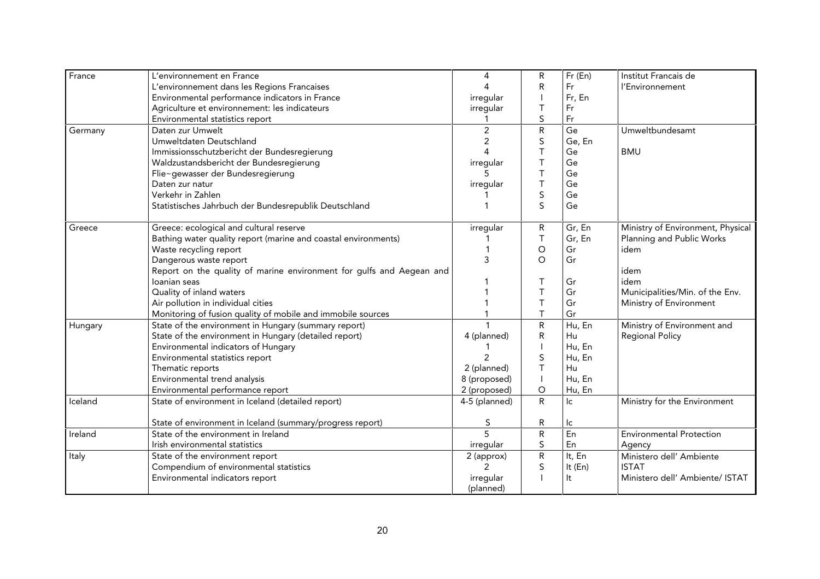| France  | L'environnement en France                                            | 4              | R            | $Fr$ (En)      | Institut Francais de              |
|---------|----------------------------------------------------------------------|----------------|--------------|----------------|-----------------------------------|
|         | L'environnement dans les Regions Francaises                          |                | $\mathsf R$  | Fr             | l'Environnement                   |
|         | Environmental performance indicators in France                       | irregular      |              | Fr, En         |                                   |
|         | Agriculture et environnement: les indicateurs                        | irregular      | Τ            | Fr             |                                   |
|         | Environmental statistics report                                      |                | S            | Fr             |                                   |
| Germany | Daten zur Umwelt                                                     | $\overline{c}$ | ${\sf R}$    | Ge             | Umweltbundesamt                   |
|         | Umweltdaten Deutschland                                              | $\overline{2}$ | $\sf S$      | Ge, En         |                                   |
|         | Immissionsschutzbericht der Bundesregierung                          | $\Delta$       | T            | Ge             | <b>BMU</b>                        |
|         | Waldzustandsbericht der Bundesregierung                              | irregular      | T            | Ge             |                                   |
|         | Flie~gewasser der Bundesregierung                                    |                | $\top$       | Ge             |                                   |
|         | Daten zur natur                                                      | irregular      | $\top$       | Ge             |                                   |
|         | Verkehr in Zahlen                                                    |                | $\sf S$      | Ge             |                                   |
|         | Statistisches Jahrbuch der Bundesrepublik Deutschland                |                | S            | Ge             |                                   |
| Greece  | Greece: ecological and cultural reserve                              | irregular      | R            | Gr, En         | Ministry of Environment, Physical |
|         | Bathing water quality report (marine and coastal environments)       |                | $\mathsf T$  | Gr, En         | Planning and Public Works         |
|         | Waste recycling report                                               |                | $\bigcirc$   | Gr             | idem                              |
|         | Dangerous waste report                                               | 3              | $\circ$      | Gr             |                                   |
|         | Report on the quality of marine environment for gulfs and Aegean and |                |              |                | idem                              |
|         | Ioanian seas                                                         |                | Τ            | Gr             | idem                              |
|         | Quality of inland waters                                             |                | T            | Gr             | Municipalities/Min. of the Env.   |
|         | Air pollution in individual cities                                   |                | $\mathsf T$  | Gr             | Ministry of Environment           |
|         | Monitoring of fusion quality of mobile and immobile sources          |                | $\mathsf{T}$ | Gr             |                                   |
| Hungary | State of the environment in Hungary (summary report)                 |                | ${\sf R}$    | Hu, En         | Ministry of Environment and       |
|         | State of the environment in Hungary (detailed report)                | 4 (planned)    | $\mathsf R$  | Hu             | <b>Regional Policy</b>            |
|         | Environmental indicators of Hungary                                  |                |              | Hu, En         |                                   |
|         | Environmental statistics report                                      | 2              | S            | Hu, En         |                                   |
|         | Thematic reports                                                     | 2 (planned)    | T            | Hu             |                                   |
|         | Environmental trend analysis                                         | 8 (proposed)   |              | Hu, En         |                                   |
|         | Environmental performance report                                     | 2 (proposed)   | O            | Hu, En         |                                   |
| Iceland | State of environment in Iceland (detailed report)                    | 4-5 (planned)  | R            | lc.            | Ministry for the Environment      |
|         | State of environment in Iceland (summary/progress report)            | S              | R            | lc             |                                   |
| Ireland | State of the environment in Ireland                                  | $\overline{5}$ | ${\sf R}$    | E <sub>n</sub> | <b>Environmental Protection</b>   |
|         | Irish environmental statistics                                       | irregular      | S            | En             | Agency                            |
| Italy   | State of the environment report                                      | 2 (approx)     | ${\sf R}$    | It, En         | Ministero dell' Ambiente          |
|         | Compendium of environmental statistics                               | $\mathcal{P}$  | S            | It (En)        | <b>ISTAT</b>                      |
|         | Environmental indicators report                                      | irregular      |              | It             | Ministero dell' Ambiente/ ISTAT   |
|         |                                                                      | (planned)      |              |                |                                   |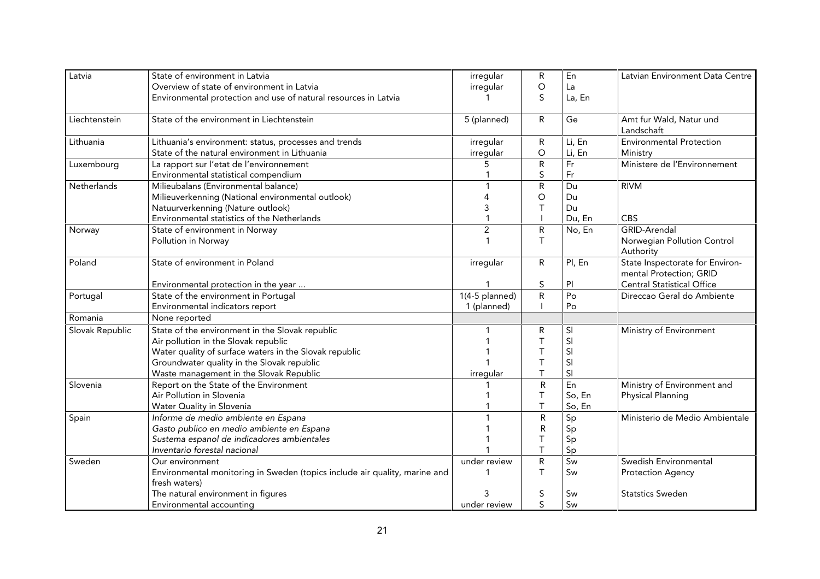| Latvia          | State of environment in Latvia                                                              | irregular      | R            | En     | Latvian Environment Data Centre                            |
|-----------------|---------------------------------------------------------------------------------------------|----------------|--------------|--------|------------------------------------------------------------|
|                 | Overview of state of environment in Latvia                                                  | irregular      | O            | La     |                                                            |
|                 | Environmental protection and use of natural resources in Latvia                             |                | S.           | La, En |                                                            |
| Liechtenstein   | State of the environment in Liechtenstein                                                   | 5 (planned)    | R            | Ge     | Amt fur Wald, Natur und                                    |
|                 |                                                                                             |                |              |        | Landschaft                                                 |
| Lithuania       | Lithuania's environment: status, processes and trends                                       | irregular      | R            | Li, En | <b>Environmental Protection</b>                            |
|                 | State of the natural environment in Lithuania                                               | irregular      | O            | Li, En | Ministry                                                   |
| Luxembourg      | La rapport sur l'etat de l'environnement                                                    | 5              | ${\sf R}$    | Fr     | Ministere de l'Environnement                               |
|                 | Environmental statistical compendium                                                        |                | S            | Fr     |                                                            |
| Netherlands     | Milieubalans (Environmental balance)                                                        |                | $\mathsf R$  | Du     | <b>RIVM</b>                                                |
|                 | Milieuverkenning (National environmental outlook)                                           | 4              | O            | Du     |                                                            |
|                 | Natuurverkenning (Nature outlook)                                                           | 3              | Т            | Du     |                                                            |
|                 | Environmental statistics of the Netherlands                                                 |                |              | Du, En | CBS                                                        |
| Norway          | State of environment in Norway                                                              | $\overline{2}$ | R            | No, En | <b>GRID-Arendal</b>                                        |
|                 | Pollution in Norway                                                                         |                | T            |        | Norwegian Pollution Control<br>Authority                   |
| Poland          | State of environment in Poland                                                              | irregular      | $\mathsf{R}$ | Pl, En | State Inspectorate for Environ-<br>mental Protection; GRID |
|                 | Environmental protection in the year                                                        |                | S            | PI     | <b>Central Statistical Office</b>                          |
| Portugal        | State of the environment in Portugal                                                        | 1(4-5 planned) | $\mathsf R$  | Po     | Direccao Geral do Ambiente                                 |
|                 | Environmental indicators report                                                             | 1 (planned)    |              | Po     |                                                            |
| Romania         | None reported                                                                               |                |              |        |                                                            |
| Slovak Republic | State of the environment in the Slovak republic                                             |                | R            | SI     | Ministry of Environment                                    |
|                 | Air pollution in the Slovak republic                                                        |                | $\top$       | SI     |                                                            |
|                 | Water quality of surface waters in the Slovak republic                                      |                | T            | SI     |                                                            |
|                 | Groundwater quality in the Slovak republic                                                  |                | $\top$       | SI     |                                                            |
|                 | Waste management in the Slovak Republic                                                     | irregular      | Τ            | SI     |                                                            |
| Slovenia        | Report on the State of the Environment                                                      |                | $\mathsf{R}$ | En     | Ministry of Environment and                                |
|                 | Air Pollution in Slovenia                                                                   |                | $\mathsf T$  | So, En | Physical Planning                                          |
|                 | Water Quality in Slovenia                                                                   |                | T            | So, En |                                                            |
| Spain           | Informe de medio ambiente en Espana                                                         |                | ${\sf R}$    | Sp     | Ministerio de Medio Ambientale                             |
|                 | Gasto publico en medio ambiente en Espana                                                   |                | $\mathsf{R}$ | Sp     |                                                            |
|                 | Sustema espanol de indicadores ambientales                                                  |                | T            | Sp     |                                                            |
|                 | Inventario forestal nacional                                                                |                |              | Sp     |                                                            |
| Sweden          | Our environment                                                                             | under review   | ${\sf R}$    | Sw     | Swedish Environmental                                      |
|                 | Environmental monitoring in Sweden (topics include air quality, marine and<br>fresh waters) |                | T            | Sw     | <b>Protection Agency</b>                                   |
|                 | The natural environment in figures                                                          | 3              | S            | Sw     | <b>Statstics Sweden</b>                                    |
|                 | Environmental accounting                                                                    | under review   | S            | Sw     |                                                            |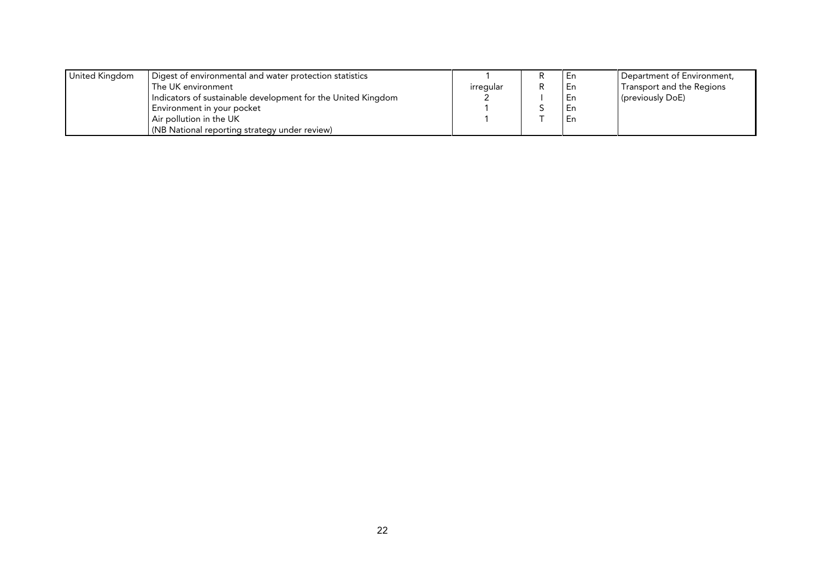| United Kingdom | Digest of environmental and water protection statistics      |           | l En | Department of Environment, |
|----------------|--------------------------------------------------------------|-----------|------|----------------------------|
|                | The UK environment                                           | irregular | l En | Transport and the Regions  |
|                | Indicators of sustainable development for the United Kingdom |           | - En | (previously DoE)           |
|                | Environment in your pocket                                   |           | l En |                            |
|                | Air pollution in the UK                                      |           | En   |                            |
|                | (NB National reporting strategy under review)                |           |      |                            |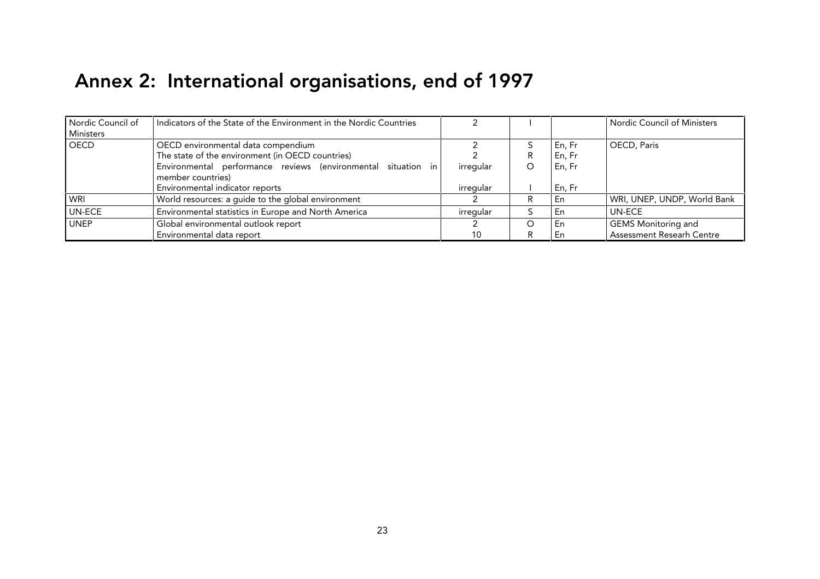# Annex 2: International organisations, end of 1997

| Nordic Council of<br>Ministers | Indicators of the State of the Environment in the Nordic Countries                     |           |                  | Nordic Council of Ministers |
|--------------------------------|----------------------------------------------------------------------------------------|-----------|------------------|-----------------------------|
| <b>OECD</b>                    | OECD environmental data compendium<br>The state of the environment (in OECD countries) |           | En, Fr<br>En, Fr | OECD, Paris                 |
|                                | Environmental performance reviews (environmental situation in<br>member countries)     | irregular | En, Fr           |                             |
|                                | Environmental indicator reports                                                        | irregular | En, Fr           |                             |
| WRI                            | World resources: a guide to the global environment                                     |           | En               | WRI, UNEP, UNDP, World Bank |
| <b>UN-ECE</b>                  | Environmental statistics in Europe and North America                                   | irregular | En               | UN-ECE                      |
| <b>UNEP</b>                    | Global environmental outlook report                                                    |           | En               | <b>GEMS Monitoring and</b>  |
|                                | Environmental data report                                                              | 10        | En               | Assessment Researh Centre   |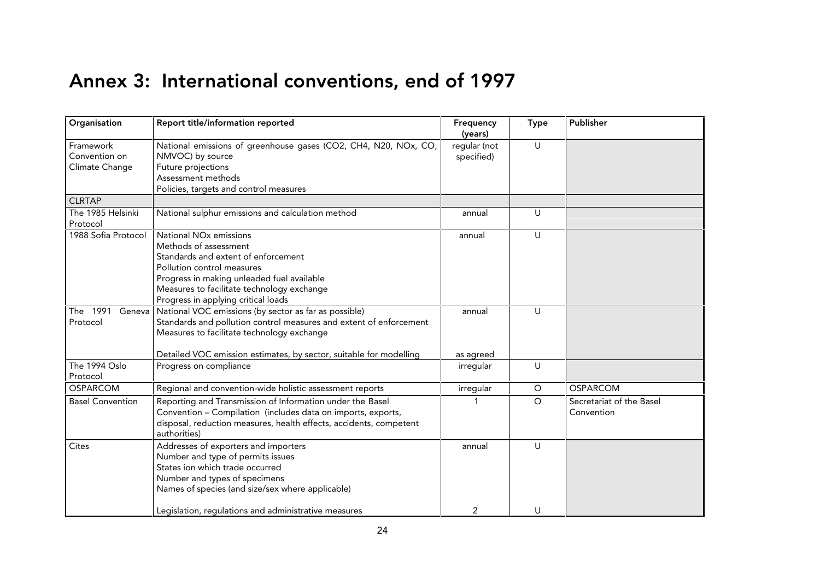## Annex 3: International conventions, end of 1997

| Organisation                                 | Report title/information reported                                                                                                                                                                                                                                   | Frequency<br>(years)       | <b>Type</b>  | Publisher                              |
|----------------------------------------------|---------------------------------------------------------------------------------------------------------------------------------------------------------------------------------------------------------------------------------------------------------------------|----------------------------|--------------|----------------------------------------|
| Framework<br>Convention on<br>Climate Change | National emissions of greenhouse gases (CO2, CH4, N20, NOx, CO,<br>NMVOC) by source<br>Future projections<br>Assessment methods<br>Policies, targets and control measures                                                                                           | regular (not<br>specified) | $\cup$       |                                        |
| <b>CLRTAP</b>                                |                                                                                                                                                                                                                                                                     |                            |              |                                        |
| The 1985 Helsinki<br>Protocol                | National sulphur emissions and calculation method                                                                                                                                                                                                                   | annual                     | U            |                                        |
| 1988 Sofia Protocol                          | National NO <sub>x</sub> emissions<br>Methods of assessment<br>Standards and extent of enforcement<br>Pollution control measures<br>Progress in making unleaded fuel available<br>Measures to facilitate technology exchange<br>Progress in applying critical loads | annual                     | $\cup$       |                                        |
| The 1991<br>Geneva<br>Protocol               | National VOC emissions (by sector as far as possible)<br>Standards and pollution control measures and extent of enforcement<br>Measures to facilitate technology exchange<br>Detailed VOC emission estimates, by sector, suitable for modelling                     | annual<br>as agreed        | $\mathbf{U}$ |                                        |
| The 1994 Oslo<br>Protocol                    | Progress on compliance                                                                                                                                                                                                                                              | irregular                  | U            |                                        |
| <b>OSPARCOM</b>                              | Regional and convention-wide holistic assessment reports                                                                                                                                                                                                            | irregular                  | $\circ$      | <b>OSPARCOM</b>                        |
| <b>Basel Convention</b>                      | Reporting and Transmission of Information under the Basel<br>Convention - Compilation (includes data on imports, exports,<br>disposal, reduction measures, health effects, accidents, competent<br>authorities)                                                     | 1                          | $\circ$      | Secretariat of the Basel<br>Convention |
| Cites                                        | Addresses of exporters and importers<br>Number and type of permits issues<br>States ion which trade occurred<br>Number and types of specimens<br>Names of species (and size/sex where applicable)<br>Legislation, regulations and administrative measures           | annual<br>2                | $\cup$<br>U  |                                        |